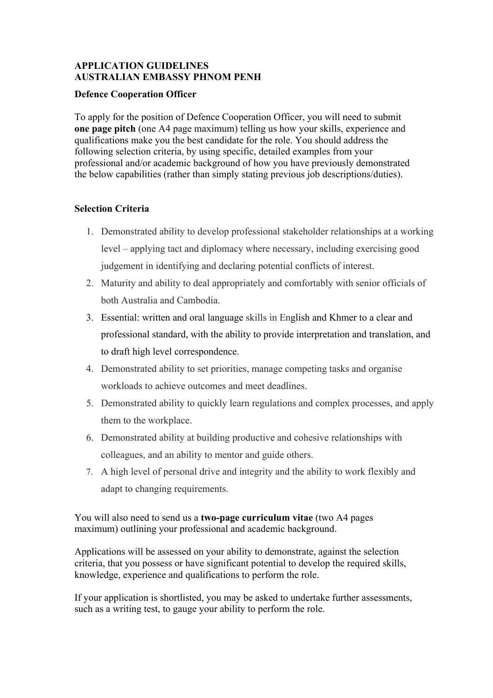# **APPLICATION GUIDELINES AUSTRALIAN EMBASSY PHNOM PENH**

### **Defence Cooperation Officer**

To apply for the position of Defence Cooperation Officer, you will need to submit **one page pitch** (one A4 page maximum) telling us how your skills, experience and qualifications make you the best candidate for the role. You should address the following selection criteria, by using specific, detailed examples from your professional and/or academic background of how you have previously demonstrated the below capabilities (rather than simply stating previous job descriptions/duties).

### **Selection Criteria**

- 1. Demonstrated ability to develop professional stakeholder relationships at a working level – applying tact and diplomacy where necessary, including exercising good judgement in identifying and declaring potential conflicts of interest.
- 2. Maturity and ability to deal appropriately and comfortably with senior officials of both Australia and Cambodia.
- 3. Essential: written and oral language skills in English and Khmer to a clear and professional standard, with the ability to provide interpretation and translation, and to draft high level correspondence.
- 4. Demonstrated ability to set priorities, manage competing tasks and organise workloads to achieve outcomes and meet deadlines.
- 5. Demonstrated ability to quickly learn regulations and complex processes, and apply them to the workplace.
- 6. Demonstrated ability at building productive and cohesive relationships with colleagues, and an ability to mentor and guide others.
- 7. A high level of personal drive and integrity and the ability to work flexibly and adapt to changing requirements.

You will also need to send us a **two-page curriculum vitae** (two A4 pages maximum) outlining your professional and academic background.

Applications will be assessed on your ability to demonstrate, against the selection criteria, that you possess or have significant potential to develop the required skills, knowledge, experience and qualifications to perform the role.

If your application is shortlisted, you may be asked to undertake further assessments, such as a writing test, to gauge your ability to perform the role.